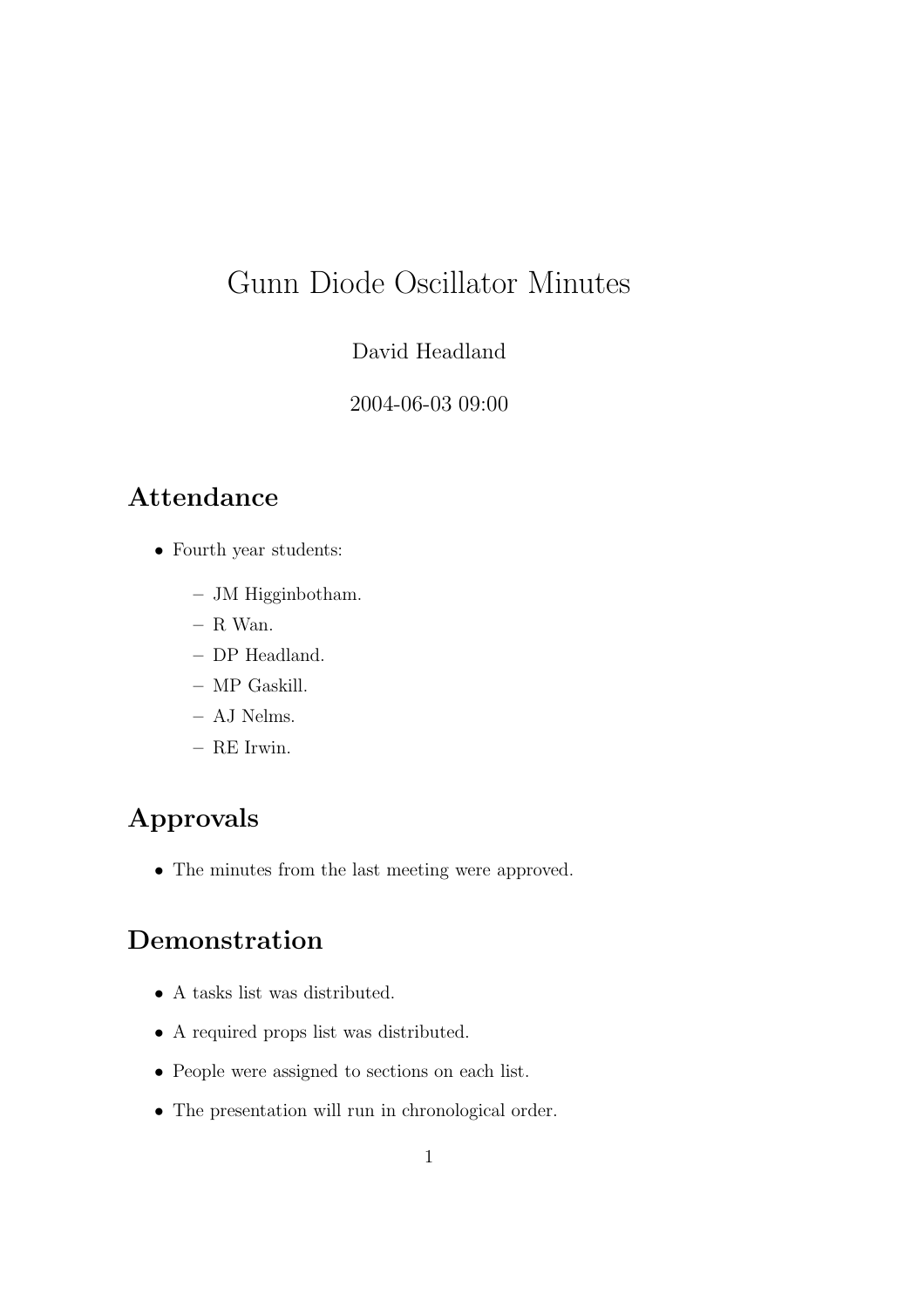# Gunn Diode Oscillator Minutes

#### David Headland

#### 2004-06-03 09:00

### Attendance

- Fourth year students:
	- JM Higginbotham.
	- R Wan.
	- DP Headland.
	- MP Gaskill.
	- AJ Nelms.
	- RE Irwin.

# Approvals

• The minutes from the last meeting were approved.

#### Demonstration

- A tasks list was distributed.
- A required props list was distributed.
- People were assigned to sections on each list.
- The presentation will run in chronological order.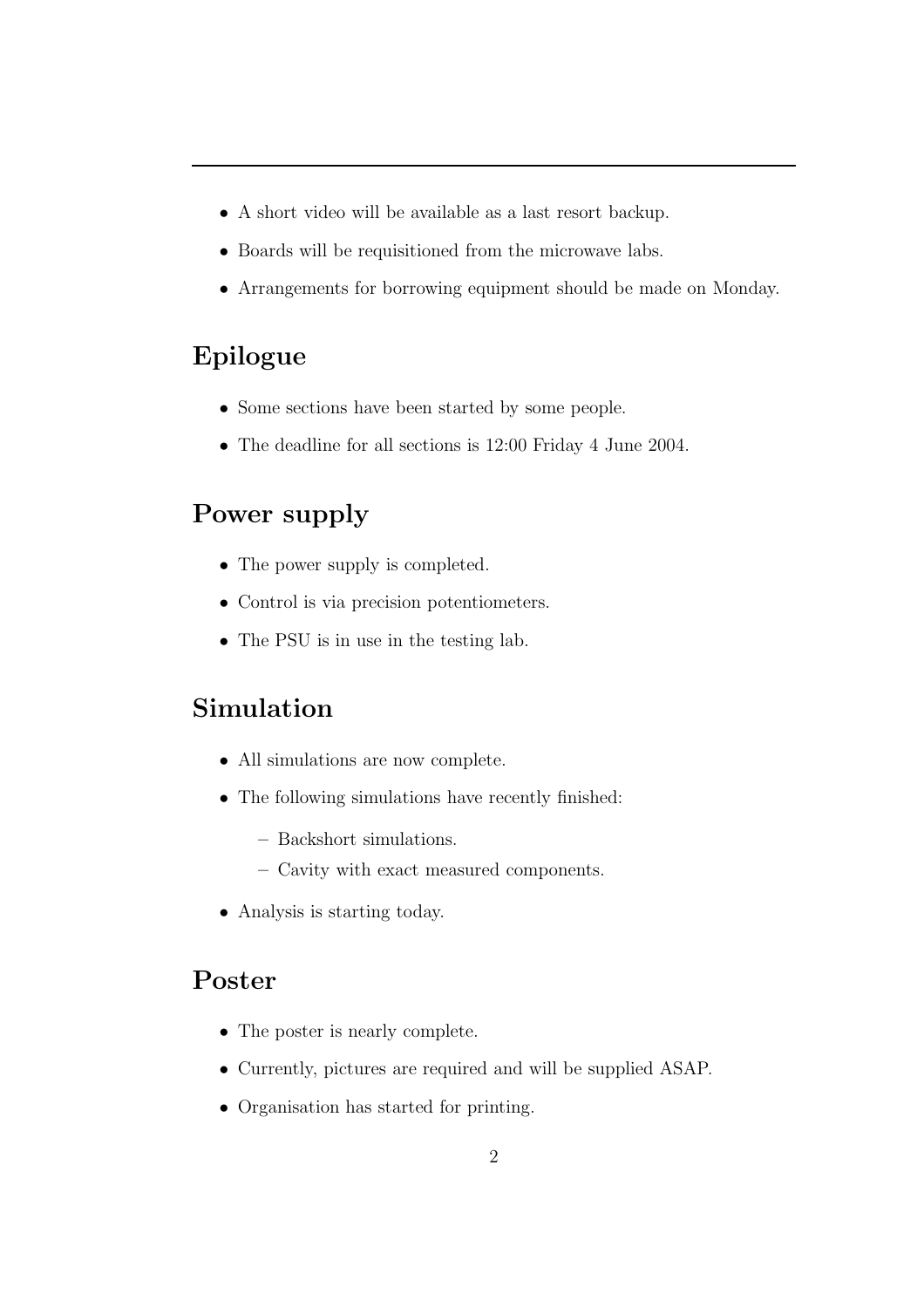- A short video will be available as a last resort backup.
- Boards will be requisitioned from the microwave labs.
- Arrangements for borrowing equipment should be made on Monday.

#### Epilogue

- Some sections have been started by some people.
- The deadline for all sections is 12:00 Friday 4 June 2004.

# Power supply

- The power supply is completed.
- Control is via precision potentiometers.
- The PSU is in use in the testing lab.

# Simulation

- All simulations are now complete.
- The following simulations have recently finished:
	- Backshort simulations.
	- Cavity with exact measured components.
- Analysis is starting today.

### Poster

- The poster is nearly complete.
- Currently, pictures are required and will be supplied ASAP.
- Organisation has started for printing.